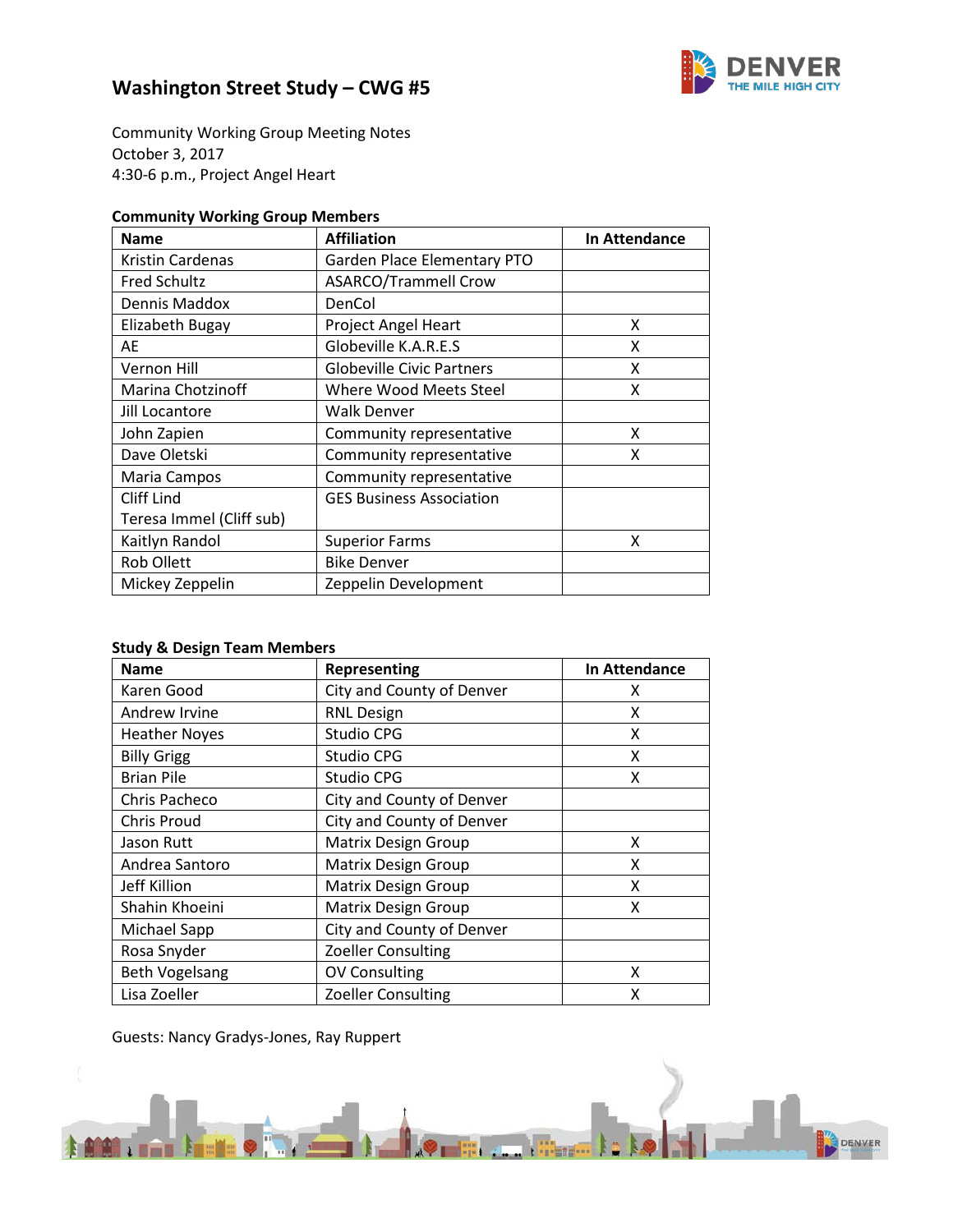

Community Working Group Meeting Notes October 3, 2017 4:30-6 p.m., Project Angel Heart

## **Community Working Group Members**

| <b>Name</b>              | <b>Affiliation</b>               | In Attendance |
|--------------------------|----------------------------------|---------------|
| Kristin Cardenas         | Garden Place Elementary PTO      |               |
| <b>Fred Schultz</b>      | <b>ASARCO/Trammell Crow</b>      |               |
| Dennis Maddox            | DenCol                           |               |
| Elizabeth Bugay          | Project Angel Heart              | x             |
| AE                       | Globeville K.A.R.E.S             | x             |
| Vernon Hill              | <b>Globeville Civic Partners</b> | x             |
| Marina Chotzinoff        | Where Wood Meets Steel           | x             |
| Jill Locantore           | Walk Denver                      |               |
| John Zapien              | Community representative         | X             |
| Dave Oletski             | Community representative         | x             |
| Maria Campos             | Community representative         |               |
| Cliff Lind               | <b>GES Business Association</b>  |               |
| Teresa Immel (Cliff sub) |                                  |               |
| Kaitlyn Randol           | <b>Superior Farms</b>            | x             |
| <b>Rob Ollett</b>        | <b>Bike Denver</b>               |               |
| Mickey Zeppelin          | Zeppelin Development             |               |

## **Study & Design Team Members**

| <b>Name</b>           | Representing               | In Attendance |
|-----------------------|----------------------------|---------------|
| Karen Good            | City and County of Denver  | x             |
| Andrew Irvine         | <b>RNL Design</b>          | X             |
| <b>Heather Noyes</b>  | Studio CPG                 | X             |
| <b>Billy Grigg</b>    | <b>Studio CPG</b>          | Χ             |
| <b>Brian Pile</b>     | Studio CPG                 | x             |
| Chris Pacheco         | City and County of Denver  |               |
| <b>Chris Proud</b>    | City and County of Denver  |               |
| Jason Rutt            | <b>Matrix Design Group</b> | X             |
| Andrea Santoro        | <b>Matrix Design Group</b> | X             |
| Jeff Killion          | <b>Matrix Design Group</b> | Χ             |
| Shahin Khoeini        | <b>Matrix Design Group</b> | X             |
| Michael Sapp          | City and County of Denver  |               |
| Rosa Snyder           | Zoeller Consulting         |               |
| <b>Beth Vogelsang</b> | <b>OV Consulting</b>       | X             |
| Lisa Zoeller          | Zoeller Consulting         | X             |

Guests: Nancy Gradys-Jones, Ray Ruppert

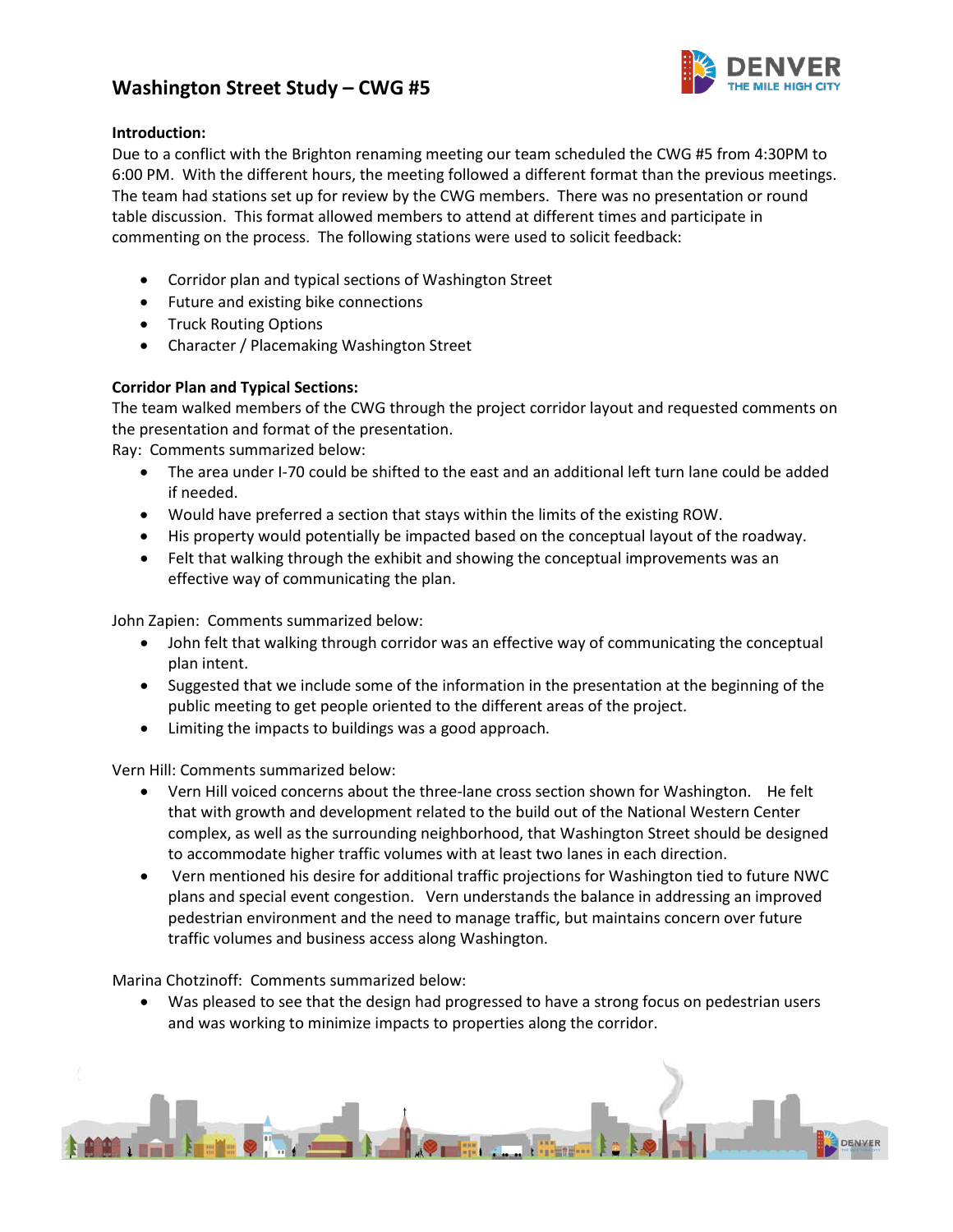

## **Introduction:**

Due to a conflict with the Brighton renaming meeting our team scheduled the CWG #5 from 4:30PM to 6:00 PM. With the different hours, the meeting followed a different format than the previous meetings. The team had stations set up for review by the CWG members. There was no presentation or round table discussion. This format allowed members to attend at different times and participate in commenting on the process. The following stations were used to solicit feedback:

- Corridor plan and typical sections of Washington Street
- Future and existing bike connections
- Truck Routing Options
- Character / Placemaking Washington Street

## **Corridor Plan and Typical Sections:**

The team walked members of the CWG through the project corridor layout and requested comments on the presentation and format of the presentation.

Ray: Comments summarized below:

- The area under I-70 could be shifted to the east and an additional left turn lane could be added if needed.
- Would have preferred a section that stays within the limits of the existing ROW.
- His property would potentially be impacted based on the conceptual layout of the roadway.
- Felt that walking through the exhibit and showing the conceptual improvements was an effective way of communicating the plan.

John Zapien: Comments summarized below:

- John felt that walking through corridor was an effective way of communicating the conceptual plan intent.
- Suggested that we include some of the information in the presentation at the beginning of the public meeting to get people oriented to the different areas of the project.
- Limiting the impacts to buildings was a good approach.

Vern Hill: Comments summarized below:

- Vern Hill voiced concerns about the three-lane cross section shown for Washington. He felt that with growth and development related to the build out of the National Western Center complex, as well as the surrounding neighborhood, that Washington Street should be designed to accommodate higher traffic volumes with at least two lanes in each direction.
- Vern mentioned his desire for additional traffic projections for Washington tied to future NWC plans and special event congestion. Vern understands the balance in addressing an improved pedestrian environment and the need to manage traffic, but maintains concern over future traffic volumes and business access along Washington.

Marina Chotzinoff: Comments summarized below:

• Was pleased to see that the design had progressed to have a strong focus on pedestrian users and was working to minimize impacts to properties along the corridor.

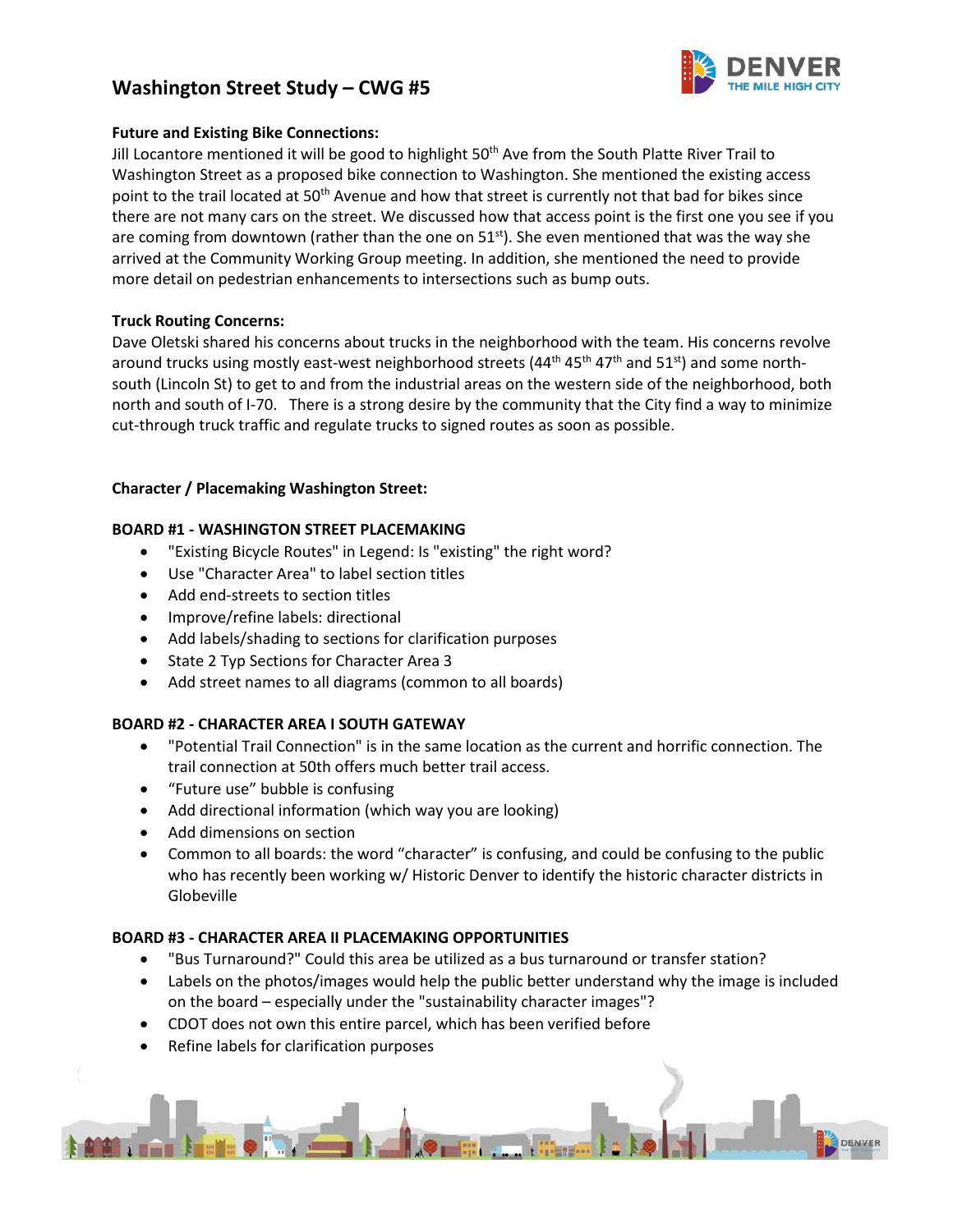

## **Future and Existing Bike Connections:**

Jill Locantore mentioned it will be good to highlight 50<sup>th</sup> Ave from the South Platte River Trail to Washington Street as a proposed bike connection to Washington. She mentioned the existing access point to the trail located at 50<sup>th</sup> Avenue and how that street is currently not that bad for bikes since there are not many cars on the street. We discussed how that access point is the first one you see if you are coming from downtown (rather than the one on  $51<sup>st</sup>$ ). She even mentioned that was the way she arrived at the Community Working Group meeting. In addition, she mentioned the need to provide more detail on pedestrian enhancements to intersections such as bump outs.

## **Truck Routing Concerns:**

Dave Oletski shared his concerns about trucks in the neighborhood with the team. His concerns revolve around trucks using mostly east-west neighborhood streets (44<sup>th</sup> 45<sup>th</sup> 47<sup>th</sup> and 51<sup>st</sup>) and some northsouth (Lincoln St) to get to and from the industrial areas on the western side of the neighborhood, both north and south of I-70. There is a strong desire by the community that the City find a way to minimize cut-through truck traffic and regulate trucks to signed routes as soon as possible.

## **Character / Placemaking Washington Street:**

## **BOARD #1 - WASHINGTON STREET PLACEMAKING**

- "Existing Bicycle Routes" in Legend: Is "existing" the right word?
- Use "Character Area" to label section titles
- Add end-streets to section titles
- Improve/refine labels: directional
- Add labels/shading to sections for clarification purposes
- State 2 Typ Sections for Character Area 3
- Add street names to all diagrams (common to all boards)

#### **BOARD #2 - CHARACTER AREA I SOUTH GATEWAY**

- "Potential Trail Connection" is in the same location as the current and horrific connection. The trail connection at 50th offers much better trail access.
- "Future use" bubble is confusing
- Add directional information (which way you are looking)
- Add dimensions on section
- Common to all boards: the word "character" is confusing, and could be confusing to the public who has recently been working w/ Historic Denver to identify the historic character districts in Globeville

#### **BOARD #3 - CHARACTER AREA II PLACEMAKING OPPORTUNITIES**

- "Bus Turnaround?" Could this area be utilized as a bus turnaround or transfer station?
- Labels on the photos/images would help the public better understand why the image is included on the board – especially under the "sustainability character images"?
- CDOT does not own this entire parcel, which has been verified before
- Refine labels for clarification purposes

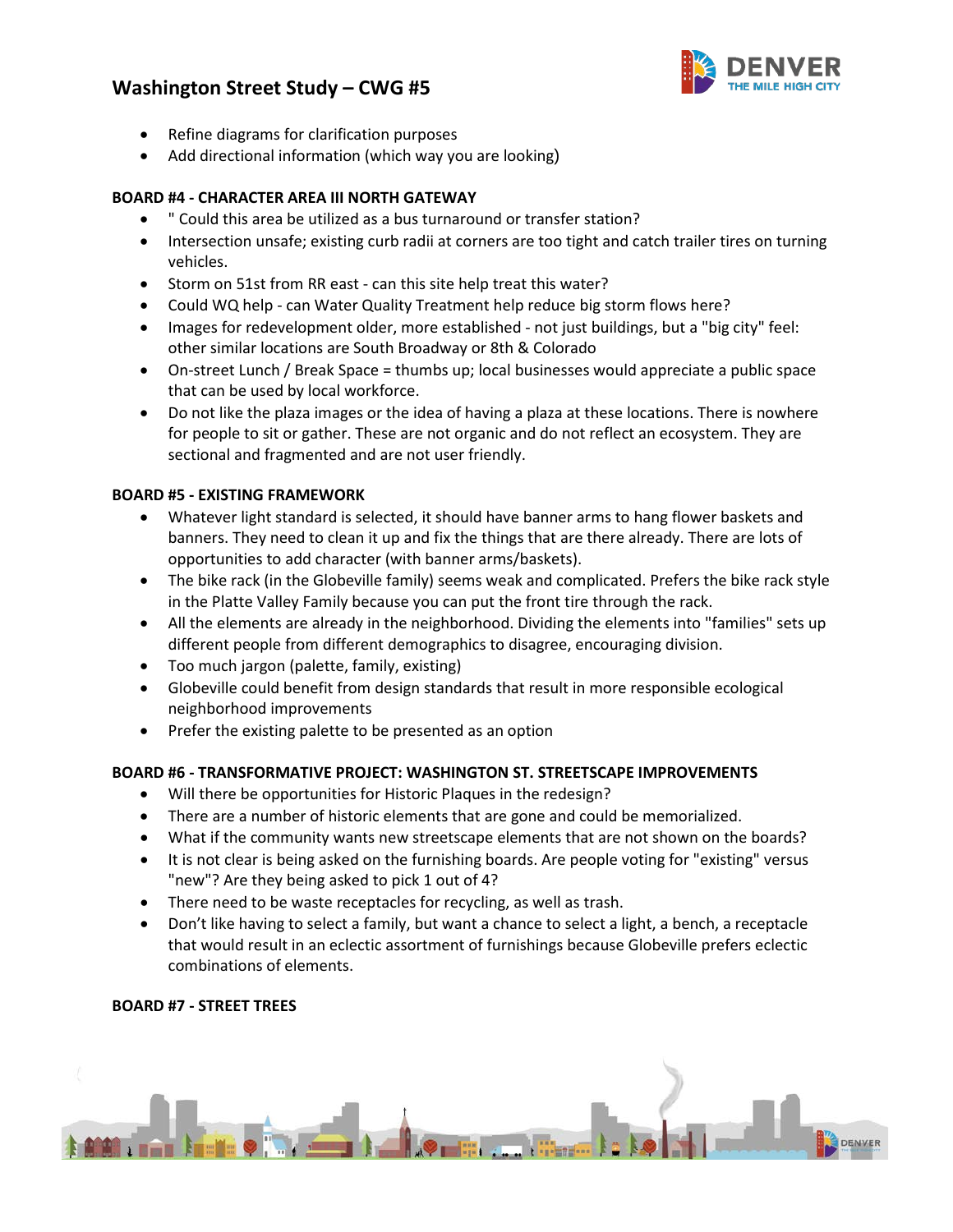

- Refine diagrams for clarification purposes
- Add directional information (which way you are looking)

## **BOARD #4 - CHARACTER AREA III NORTH GATEWAY**

- " Could this area be utilized as a bus turnaround or transfer station?
- Intersection unsafe; existing curb radii at corners are too tight and catch trailer tires on turning vehicles.
- Storm on 51st from RR east can this site help treat this water?
- Could WQ help can Water Quality Treatment help reduce big storm flows here?
- Images for redevelopment older, more established not just buildings, but a "big city" feel: other similar locations are South Broadway or 8th & Colorado
- On-street Lunch / Break Space = thumbs up; local businesses would appreciate a public space that can be used by local workforce.
- Do not like the plaza images or the idea of having a plaza at these locations. There is nowhere for people to sit or gather. These are not organic and do not reflect an ecosystem. They are sectional and fragmented and are not user friendly.

## **BOARD #5 - EXISTING FRAMEWORK**

- Whatever light standard is selected, it should have banner arms to hang flower baskets and banners. They need to clean it up and fix the things that are there already. There are lots of opportunities to add character (with banner arms/baskets).
- The bike rack (in the Globeville family) seems weak and complicated. Prefers the bike rack style in the Platte Valley Family because you can put the front tire through the rack.
- All the elements are already in the neighborhood. Dividing the elements into "families" sets up different people from different demographics to disagree, encouraging division.
- Too much jargon (palette, family, existing)
- Globeville could benefit from design standards that result in more responsible ecological neighborhood improvements
- Prefer the existing palette to be presented as an option

#### **BOARD #6 - TRANSFORMATIVE PROJECT: WASHINGTON ST. STREETSCAPE IMPROVEMENTS**

- Will there be opportunities for Historic Plaques in the redesign?
- There are a number of historic elements that are gone and could be memorialized.
- What if the community wants new streetscape elements that are not shown on the boards?
- It is not clear is being asked on the furnishing boards. Are people voting for "existing" versus "new"? Are they being asked to pick 1 out of 4?
- There need to be waste receptacles for recycling, as well as trash.
- Don't like having to select a family, but want a chance to select a light, a bench, a receptacle that would result in an eclectic assortment of furnishings because Globeville prefers eclectic combinations of elements.

#### **BOARD #7 - STREET TREES**